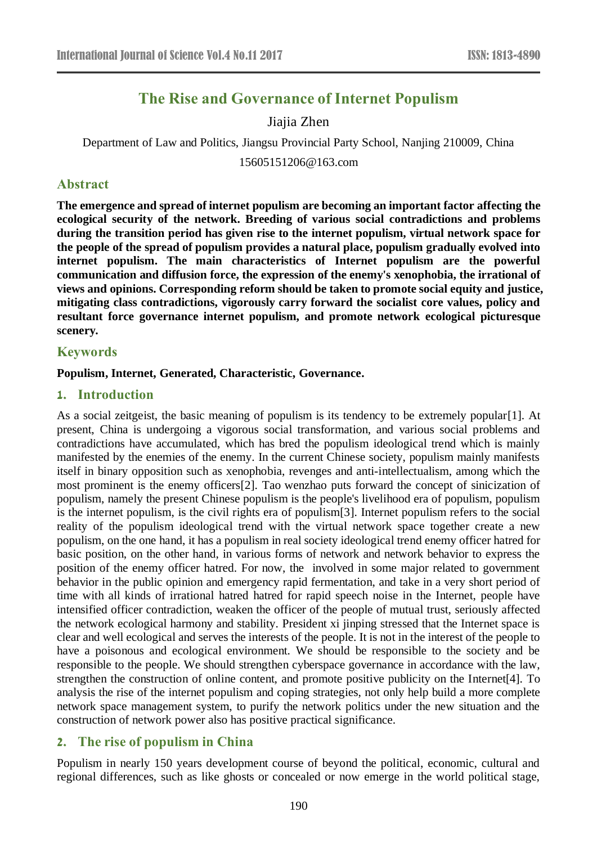# **The Rise and Governance of Internet Populism**

# Jiajia Zhen

Department of Law and Politics, Jiangsu Provincial Party School, Nanjing 210009, China

15605151206@163.com

# **Abstract**

**The emergence and spread of internet populism are becoming an important factor affecting the ecological security of the network. Breeding of various social contradictions and problems during the transition period has given rise to the internet populism, virtual network space for the people of the spread of populism provides a natural place, populism gradually evolved into internet populism. The main characteristics of Internet populism are the powerful communication and diffusion force, the expression of the enemy's xenophobia, the irrational of views and opinions. Corresponding reform should be taken to promote social equity and justice, mitigating class contradictions, vigorously carry forward the socialist core values, policy and resultant force governance internet populism, and promote network ecological picturesque scenery.**

### **Keywords**

### **Populism, Internet, Generated, Characteristic, Governance.**

### **1. Introduction**

As a social zeitgeist, the basic meaning of populism is its tendency to be extremely popular[1]. At present, China is undergoing a vigorous social transformation, and various social problems and contradictions have accumulated, which has bred the populism ideological trend which is mainly manifested by the enemies of the enemy. In the current Chinese society, populism mainly manifests itself in binary opposition such as xenophobia, revenges and anti-intellectualism, among which the most prominent is the enemy officers[2]. Tao wenzhao puts forward the concept of sinicization of populism, namely the present Chinese populism is the people's livelihood era of populism, populism is the internet populism, is the civil rights era of populism[3]. Internet populism refers to the social reality of the populism ideological trend with the virtual network space together create a new populism, on the one hand, it has a populism in real society ideological trend enemy officer hatred for basic position, on the other hand, in various forms of network and network behavior to express the position of the enemy officer hatred. For now, the involved in some major related to government behavior in the public opinion and emergency rapid fermentation, and take in a very short period of time with all kinds of irrational hatred hatred for rapid speech noise in the Internet, people have intensified officer contradiction, weaken the officer of the people of mutual trust, seriously affected the network ecological harmony and stability. President xi jinping stressed that the Internet space is clear and well ecological and serves the interests of the people. It is not in the interest of the people to have a poisonous and ecological environment. We should be responsible to the society and be responsible to the people. We should strengthen cyberspace governance in accordance with the law, strengthen the construction of online content, and promote positive publicity on the Internet[4]. To analysis the rise of the internet populism and coping strategies, not only help build a more complete network space management system, to purify the network politics under the new situation and the construction of network power also has positive practical significance.

# **2. The rise of populism in China**

Populism in nearly 150 years development course of beyond the political, economic, cultural and regional differences, such as like ghosts or concealed or now emerge in the world political stage,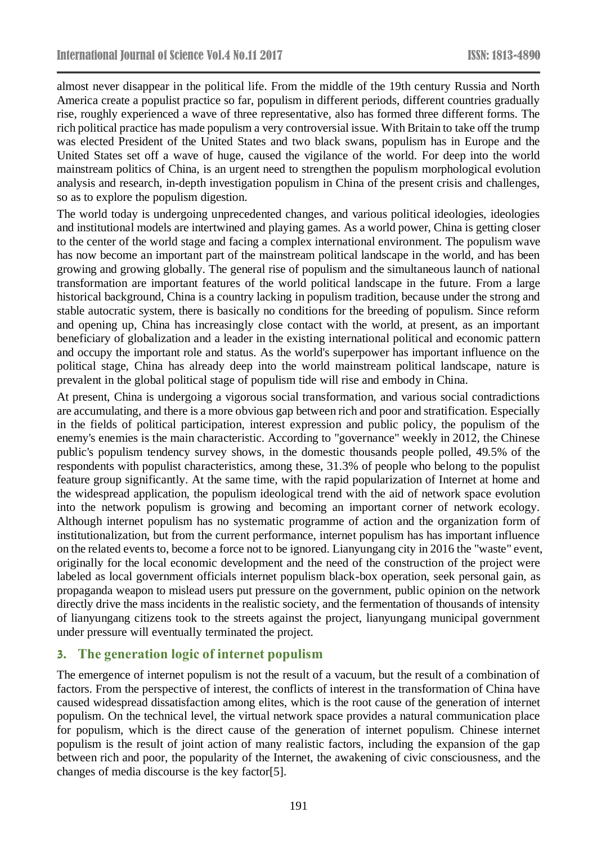almost never disappear in the political life. From the middle of the 19th century Russia and North America create a populist practice so far, populism in different periods, different countries gradually rise, roughly experienced a wave of three representative, also has formed three different forms. The rich political practice has made populism a very controversial issue. With Britain to take off the trump was elected President of the United States and two black swans, populism has in Europe and the United States set off a wave of huge, caused the vigilance of the world. For deep into the world mainstream politics of China, is an urgent need to strengthen the populism morphological evolution analysis and research, in-depth investigation populism in China of the present crisis and challenges, so as to explore the populism digestion.

The world today is undergoing unprecedented changes, and various political ideologies, ideologies and institutional models are intertwined and playing games. As a world power, China is getting closer to the center of the world stage and facing a complex international environment. The populism wave has now become an important part of the mainstream political landscape in the world, and has been growing and growing globally. The general rise of populism and the simultaneous launch of national transformation are important features of the world political landscape in the future. From a large historical background, China is a country lacking in populism tradition, because under the strong and stable autocratic system, there is basically no conditions for the breeding of populism. Since reform and opening up, China has increasingly close contact with the world, at present, as an important beneficiary of globalization and a leader in the existing international political and economic pattern and occupy the important role and status. As the world's superpower has important influence on the political stage, China has already deep into the world mainstream political landscape, nature is prevalent in the global political stage of populism tide will rise and embody in China.

At present, China is undergoing a vigorous social transformation, and various social contradictions are accumulating, and there is a more obvious gap between rich and poor and stratification. Especially in the fields of political participation, interest expression and public policy, the populism of the enemy's enemies is the main characteristic. According to "governance" weekly in 2012, the Chinese public's populism tendency survey shows, in the domestic thousands people polled, 49.5% of the respondents with populist characteristics, among these, 31.3% of people who belong to the populist feature group significantly. At the same time, with the rapid popularization of Internet at home and the widespread application, the populism ideological trend with the aid of network space evolution into the network populism is growing and becoming an important corner of network ecology. Although internet populism has no systematic programme of action and the organization form of institutionalization, but from the current performance, internet populism has has important influence on the related events to, become a force not to be ignored. Lianyungang city in 2016 the "waste" event, originally for the local economic development and the need of the construction of the project were labeled as local government officials internet populism black-box operation, seek personal gain, as propaganda weapon to mislead users put pressure on the government, public opinion on the network directly drive the mass incidents in the realistic society, and the fermentation of thousands of intensity of lianyungang citizens took to the streets against the project, lianyungang municipal government under pressure will eventually terminated the project.

# **3. The generation logic of internet populism**

The emergence of internet populism is not the result of a vacuum, but the result of a combination of factors. From the perspective of interest, the conflicts of interest in the transformation of China have caused widespread dissatisfaction among elites, which is the root cause of the generation of internet populism. On the technical level, the virtual network space provides a natural communication place for populism, which is the direct cause of the generation of internet populism. Chinese internet populism is the result of joint action of many realistic factors, including the expansion of the gap between rich and poor, the popularity of the Internet, the awakening of civic consciousness, and the changes of media discourse is the key factor[5].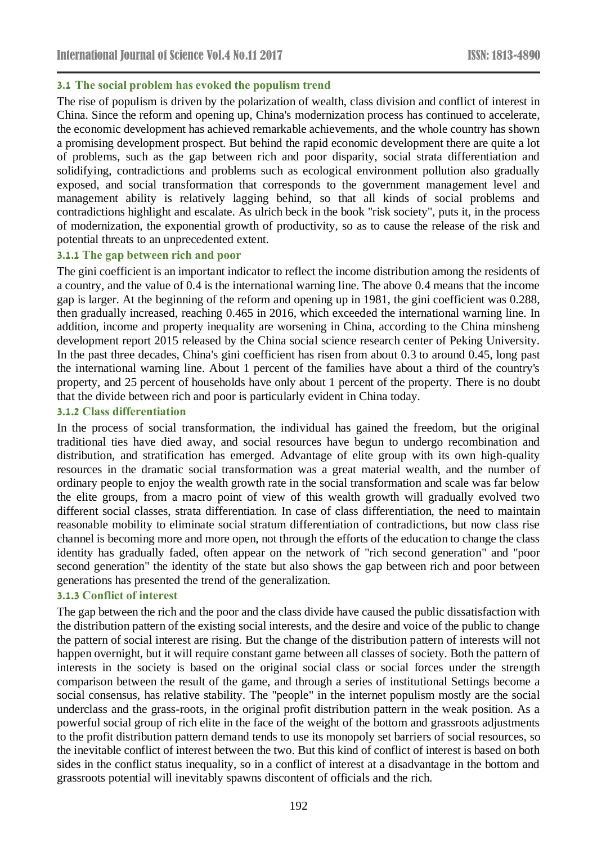### **3.1 The social problem has evoked the populism trend**

The rise of populism is driven by the polarization of wealth, class division and conflict of interest in China. Since the reform and opening up, China's modernization process has continued to accelerate, the economic development has achieved remarkable achievements, and the whole country has shown a promising development prospect. But behind the rapid economic development there are quite a lot of problems, such as the gap between rich and poor disparity, social strata differentiation and solidifying, contradictions and problems such as ecological environment pollution also gradually exposed, and social transformation that corresponds to the government management level and management ability is relatively lagging behind, so that all kinds of social problems and contradictions highlight and escalate. As ulrich beck in the book "risk society", puts it, in the process of modernization, the exponential growth of productivity, so as to cause the release of the risk and potential threats to an unprecedented extent.

#### **3.1.1 The gap between rich and poor**

The gini coefficient is an important indicator to reflect the income distribution among the residents of a country, and the value of 0.4 is the international warning line. The above 0.4 means that the income gap is larger. At the beginning of the reform and opening up in 1981, the gini coefficient was 0.288, then gradually increased, reaching 0.465 in 2016, which exceeded the international warning line. In addition, income and property inequality are worsening in China, according to the China minsheng development report 2015 released by the China social science research center of Peking University. In the past three decades, China's gini coefficient has risen from about 0.3 to around 0.45, long past the international warning line. About 1 percent of the families have about a third of the country's property, and 25 percent of households have only about 1 percent of the property. There is no doubt that the divide between rich and poor is particularly evident in China today.

#### **3.1.2 Class differentiation**

In the process of social transformation, the individual has gained the freedom, but the original traditional ties have died away, and social resources have begun to undergo recombination and distribution, and stratification has emerged. Advantage of elite group with its own high-quality resources in the dramatic social transformation was a great material wealth, and the number of ordinary people to enjoy the wealth growth rate in the social transformation and scale was far below the elite groups, from a macro point of view of this wealth growth will gradually evolved two different social classes, strata differentiation. In case of class differentiation, the need to maintain reasonable mobility to eliminate social stratum differentiation of contradictions, but now class rise channel is becoming more and more open, not through the efforts of the education to change the class identity has gradually faded, often appear on the network of "rich second generation" and "poor second generation" the identity of the state but also shows the gap between rich and poor between generations has presented the trend of the generalization.

### **3.1.3 Conflict of interest**

The gap between the rich and the poor and the class divide have caused the public dissatisfaction with the distribution pattern of the existing social interests, and the desire and voice of the public to change the pattern of social interest are rising. But the change of the distribution pattern of interests will not happen overnight, but it will require constant game between all classes of society. Both the pattern of interests in the society is based on the original social class or social forces under the strength comparison between the result of the game, and through a series of institutional Settings become a social consensus, has relative stability. The "people" in the internet populism mostly are the social underclass and the grass-roots, in the original profit distribution pattern in the weak position. As a powerful social group of rich elite in the face of the weight of the bottom and grassroots adjustments to the profit distribution pattern demand tends to use its monopoly set barriers of social resources, so the inevitable conflict of interest between the two. But this kind of conflict of interest is based on both sides in the conflict status inequality, so in a conflict of interest at a disadvantage in the bottom and grassroots potential will inevitably spawns discontent of officials and the rich.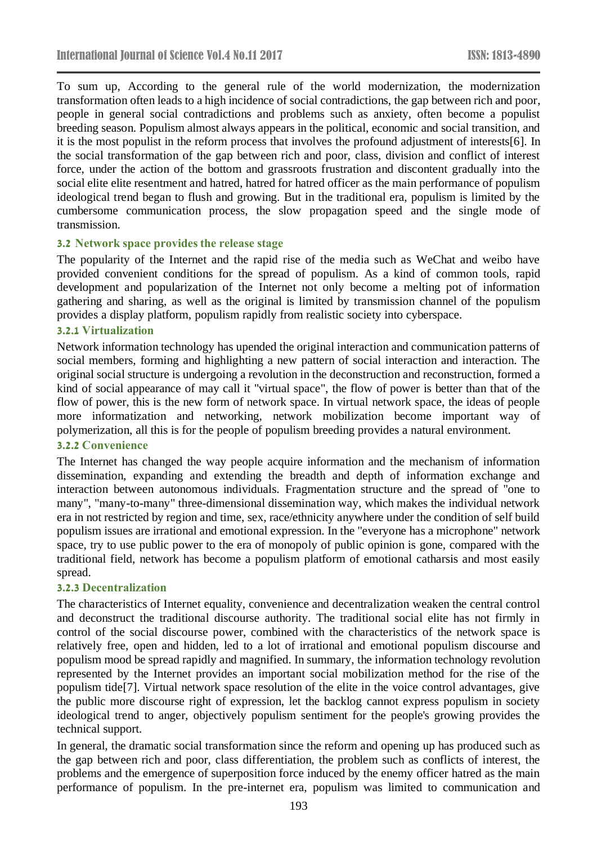To sum up, According to the general rule of the world modernization, the modernization transformation often leads to a high incidence of social contradictions, the gap between rich and poor, people in general social contradictions and problems such as anxiety, often become a populist breeding season. Populism almost always appears in the political, economic and social transition, and it is the most populist in the reform process that involves the profound adjustment of interests[6]. In the social transformation of the gap between rich and poor, class, division and conflict of interest force, under the action of the bottom and grassroots frustration and discontent gradually into the social elite elite resentment and hatred, hatred for hatred officer as the main performance of populism ideological trend began to flush and growing. But in the traditional era, populism is limited by the cumbersome communication process, the slow propagation speed and the single mode of transmission.

#### **3.2 Network space provides the release stage**

The popularity of the Internet and the rapid rise of the media such as WeChat and weibo have provided convenient conditions for the spread of populism. As a kind of common tools, rapid development and popularization of the Internet not only become a melting pot of information gathering and sharing, as well as the original is limited by transmission channel of the populism provides a display platform, populism rapidly from realistic society into cyberspace.

#### **3.2.1 Virtualization**

Network information technology has upended the original interaction and communication patterns of social members, forming and highlighting a new pattern of social interaction and interaction. The original social structure is undergoing a revolution in the deconstruction and reconstruction, formed a kind of social appearance of may call it "virtual space", the flow of power is better than that of the flow of power, this is the new form of network space. In virtual network space, the ideas of people more informatization and networking, network mobilization become important way of polymerization, all this is for the people of populism breeding provides a natural environment.

#### **3.2.2 Convenience**

The Internet has changed the way people acquire information and the mechanism of information dissemination, expanding and extending the breadth and depth of information exchange and interaction between autonomous individuals. Fragmentation structure and the spread of "one to many", "many-to-many" three-dimensional dissemination way, which makes the individual network era in not restricted by region and time, sex, race/ethnicity anywhere under the condition of self build populism issues are irrational and emotional expression. In the "everyone has a microphone" network space, try to use public power to the era of monopoly of public opinion is gone, compared with the traditional field, network has become a populism platform of emotional catharsis and most easily spread.

#### **3.2.3 Decentralization**

The characteristics of Internet equality, convenience and decentralization weaken the central control and deconstruct the traditional discourse authority. The traditional social elite has not firmly in control of the social discourse power, combined with the characteristics of the network space is relatively free, open and hidden, led to a lot of irrational and emotional populism discourse and populism mood be spread rapidly and magnified. In summary, the information technology revolution represented by the Internet provides an important social mobilization method for the rise of the populism tide[7]. Virtual network space resolution of the elite in the voice control advantages, give the public more discourse right of expression, let the backlog cannot express populism in society ideological trend to anger, objectively populism sentiment for the people's growing provides the technical support.

In general, the dramatic social transformation since the reform and opening up has produced such as the gap between rich and poor, class differentiation, the problem such as conflicts of interest, the problems and the emergence of superposition force induced by the enemy officer hatred as the main performance of populism. In the pre-internet era, populism was limited to communication and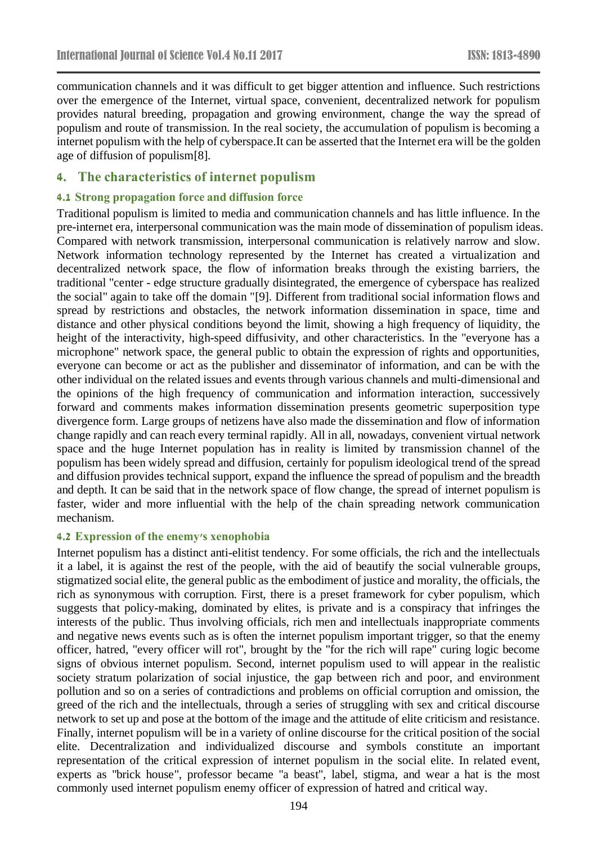communication channels and it was difficult to get bigger attention and influence. Such restrictions over the emergence of the Internet, virtual space, convenient, decentralized network for populism provides natural breeding, propagation and growing environment, change the way the spread of populism and route of transmission. In the real society, the accumulation of populism is becoming a internet populism with the help of cyberspace.It can be asserted that the Internet era will be the golden age of diffusion of populism[8].

# **4. The characteristics of internet populism**

### **4.1 Strong propagation force and diffusion force**

Traditional populism is limited to media and communication channels and has little influence. In the pre-internet era, interpersonal communication was the main mode of dissemination of populism ideas. Compared with network transmission, interpersonal communication is relatively narrow and slow. Network information technology represented by the Internet has created a virtualization and decentralized network space, the flow of information breaks through the existing barriers, the traditional "center - edge structure gradually disintegrated, the emergence of cyberspace has realized the social" again to take off the domain "[9]. Different from traditional social information flows and spread by restrictions and obstacles, the network information dissemination in space, time and distance and other physical conditions beyond the limit, showing a high frequency of liquidity, the height of the interactivity, high-speed diffusivity, and other characteristics. In the "everyone has a microphone" network space, the general public to obtain the expression of rights and opportunities, everyone can become or act as the publisher and disseminator of information, and can be with the other individual on the related issues and events through various channels and multi-dimensional and the opinions of the high frequency of communication and information interaction, successively forward and comments makes information dissemination presents geometric superposition type divergence form. Large groups of netizens have also made the dissemination and flow of information change rapidly and can reach every terminal rapidly. All in all, nowadays, convenient virtual network space and the huge Internet population has in reality is limited by transmission channel of the populism has been widely spread and diffusion, certainly for populism ideological trend of the spread and diffusion provides technical support, expand the influence the spread of populism and the breadth and depth. It can be said that in the network space of flow change, the spread of internet populism is faster, wider and more influential with the help of the chain spreading network communication mechanism.

#### **4.2 Expression of the enemy's xenophobia**

Internet populism has a distinct anti-elitist tendency. For some officials, the rich and the intellectuals it a label, it is against the rest of the people, with the aid of beautify the social vulnerable groups, stigmatized social elite, the general public as the embodiment of justice and morality, the officials, the rich as synonymous with corruption. First, there is a preset framework for cyber populism, which suggests that policy-making, dominated by elites, is private and is a conspiracy that infringes the interests of the public. Thus involving officials, rich men and intellectuals inappropriate comments and negative news events such as is often the internet populism important trigger, so that the enemy officer, hatred, "every officer will rot", brought by the "for the rich will rape" curing logic become signs of obvious internet populism. Second, internet populism used to will appear in the realistic society stratum polarization of social injustice, the gap between rich and poor, and environment pollution and so on a series of contradictions and problems on official corruption and omission, the greed of the rich and the intellectuals, through a series of struggling with sex and critical discourse network to set up and pose at the bottom of the image and the attitude of elite criticism and resistance. Finally, internet populism will be in a variety of online discourse for the critical position of the social elite. Decentralization and individualized discourse and symbols constitute an important representation of the critical expression of internet populism in the social elite. In related event, experts as "brick house", professor became "a beast", label, stigma, and wear a hat is the most commonly used internet populism enemy officer of expression of hatred and critical way.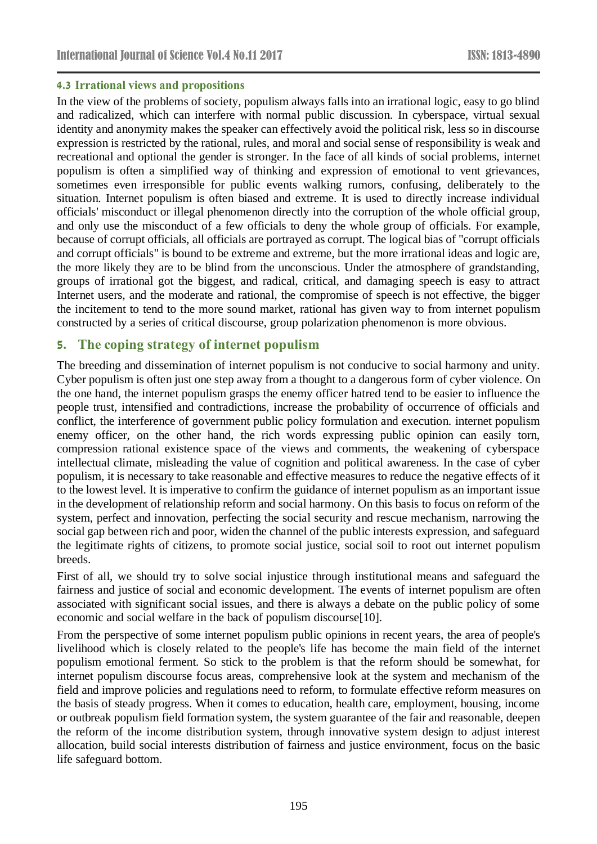### **4.3 Irrational views and propositions**

In the view of the problems of society, populism always falls into an irrational logic, easy to go blind and radicalized, which can interfere with normal public discussion. In cyberspace, virtual sexual identity and anonymity makes the speaker can effectively avoid the political risk, less so in discourse expression is restricted by the rational, rules, and moral and social sense of responsibility is weak and recreational and optional the gender is stronger. In the face of all kinds of social problems, internet populism is often a simplified way of thinking and expression of emotional to vent grievances, sometimes even irresponsible for public events walking rumors, confusing, deliberately to the situation. Internet populism is often biased and extreme. It is used to directly increase individual officials' misconduct or illegal phenomenon directly into the corruption of the whole official group, and only use the misconduct of a few officials to deny the whole group of officials. For example, because of corrupt officials, all officials are portrayed as corrupt. The logical bias of "corrupt officials and corrupt officials" is bound to be extreme and extreme, but the more irrational ideas and logic are, the more likely they are to be blind from the unconscious. Under the atmosphere of grandstanding, groups of irrational got the biggest, and radical, critical, and damaging speech is easy to attract Internet users, and the moderate and rational, the compromise of speech is not effective, the bigger the incitement to tend to the more sound market, rational has given way to from internet populism constructed by a series of critical discourse, group polarization phenomenon is more obvious.

# **5. The coping strategy of internet populism**

The breeding and dissemination of internet populism is not conducive to social harmony and unity. Cyber populism is often just one step away from a thought to a dangerous form of cyber violence. On the one hand, the internet populism grasps the enemy officer hatred tend to be easier to influence the people trust, intensified and contradictions, increase the probability of occurrence of officials and conflict, the interference of government public policy formulation and execution. internet populism enemy officer, on the other hand, the rich words expressing public opinion can easily torn, compression rational existence space of the views and comments, the weakening of cyberspace intellectual climate, misleading the value of cognition and political awareness. In the case of cyber populism, it is necessary to take reasonable and effective measures to reduce the negative effects of it to the lowest level. It is imperative to confirm the guidance of internet populism as an important issue in the development of relationship reform and social harmony. On this basis to focus on reform of the system, perfect and innovation, perfecting the social security and rescue mechanism, narrowing the social gap between rich and poor, widen the channel of the public interests expression, and safeguard the legitimate rights of citizens, to promote social justice, social soil to root out internet populism breeds.

First of all, we should try to solve social injustice through institutional means and safeguard the fairness and justice of social and economic development. The events of internet populism are often associated with significant social issues, and there is always a debate on the public policy of some economic and social welfare in the back of populism discourse[10].

From the perspective of some internet populism public opinions in recent years, the area of people's livelihood which is closely related to the people's life has become the main field of the internet populism emotional ferment. So stick to the problem is that the reform should be somewhat, for internet populism discourse focus areas, comprehensive look at the system and mechanism of the field and improve policies and regulations need to reform, to formulate effective reform measures on the basis of steady progress. When it comes to education, health care, employment, housing, income or outbreak populism field formation system, the system guarantee of the fair and reasonable, deepen the reform of the income distribution system, through innovative system design to adjust interest allocation, build social interests distribution of fairness and justice environment, focus on the basic life safeguard bottom.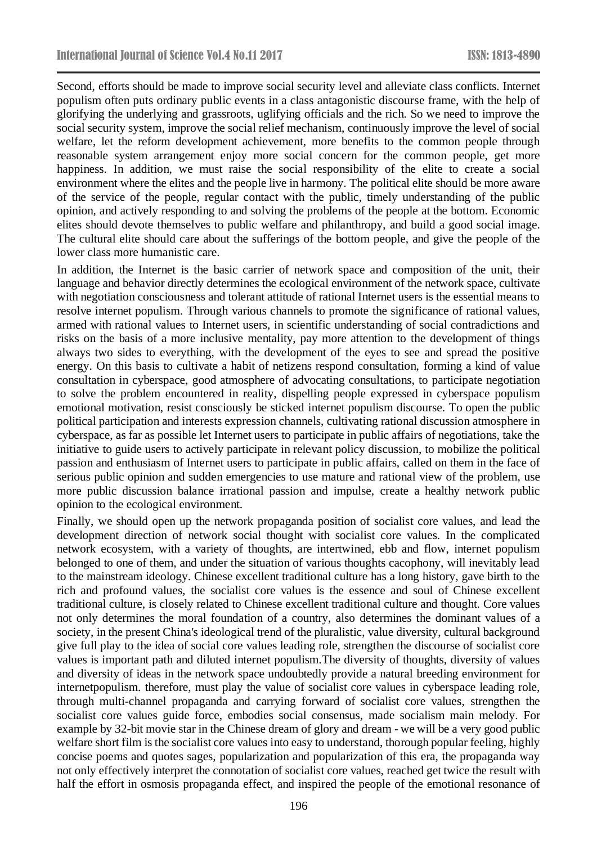Second, efforts should be made to improve social security level and alleviate class conflicts. Internet populism often puts ordinary public events in a class antagonistic discourse frame, with the help of glorifying the underlying and grassroots, uglifying officials and the rich. So we need to improve the social security system, improve the social relief mechanism, continuously improve the level of social welfare, let the reform development achievement, more benefits to the common people through reasonable system arrangement enjoy more social concern for the common people, get more happiness. In addition, we must raise the social responsibility of the elite to create a social environment where the elites and the people live in harmony. The political elite should be more aware of the service of the people, regular contact with the public, timely understanding of the public opinion, and actively responding to and solving the problems of the people at the bottom. Economic elites should devote themselves to public welfare and philanthropy, and build a good social image. The cultural elite should care about the sufferings of the bottom people, and give the people of the lower class more humanistic care.

In addition, the Internet is the basic carrier of network space and composition of the unit, their language and behavior directly determines the ecological environment of the network space, cultivate with negotiation consciousness and tolerant attitude of rational Internet users is the essential means to resolve internet populism. Through various channels to promote the significance of rational values, armed with rational values to Internet users, in scientific understanding of social contradictions and risks on the basis of a more inclusive mentality, pay more attention to the development of things always two sides to everything, with the development of the eyes to see and spread the positive energy. On this basis to cultivate a habit of netizens respond consultation, forming a kind of value consultation in cyberspace, good atmosphere of advocating consultations, to participate negotiation to solve the problem encountered in reality, dispelling people expressed in cyberspace populism emotional motivation, resist consciously be sticked internet populism discourse. To open the public political participation and interests expression channels, cultivating rational discussion atmosphere in cyberspace, as far as possible let Internet users to participate in public affairs of negotiations, take the initiative to guide users to actively participate in relevant policy discussion, to mobilize the political passion and enthusiasm of Internet users to participate in public affairs, called on them in the face of serious public opinion and sudden emergencies to use mature and rational view of the problem, use more public discussion balance irrational passion and impulse, create a healthy network public opinion to the ecological environment.

Finally, we should open up the network propaganda position of socialist core values, and lead the development direction of network social thought with socialist core values. In the complicated network ecosystem, with a variety of thoughts, are intertwined, ebb and flow, internet populism belonged to one of them, and under the situation of various thoughts cacophony, will inevitably lead to the mainstream ideology. Chinese excellent traditional culture has a long history, gave birth to the rich and profound values, the socialist core values is the essence and soul of Chinese excellent traditional culture, is closely related to Chinese excellent traditional culture and thought. Core values not only determines the moral foundation of a country, also determines the dominant values of a society, in the present China's ideological trend of the pluralistic, value diversity, cultural background give full play to the idea of social core values leading role, strengthen the discourse of socialist core values is important path and diluted internet populism.The diversity of thoughts, diversity of values and diversity of ideas in the network space undoubtedly provide a natural breeding environment for internetpopulism. therefore, must play the value of socialist core values in cyberspace leading role, through multi-channel propaganda and carrying forward of socialist core values, strengthen the socialist core values guide force, embodies social consensus, made socialism main melody. For example by 32-bit movie star in the Chinese dream of glory and dream - we will be a very good public welfare short film is the socialist core values into easy to understand, thorough popular feeling, highly concise poems and quotes sages, popularization and popularization of this era, the propaganda way not only effectively interpret the connotation of socialist core values, reached get twice the result with half the effort in osmosis propaganda effect, and inspired the people of the emotional resonance of